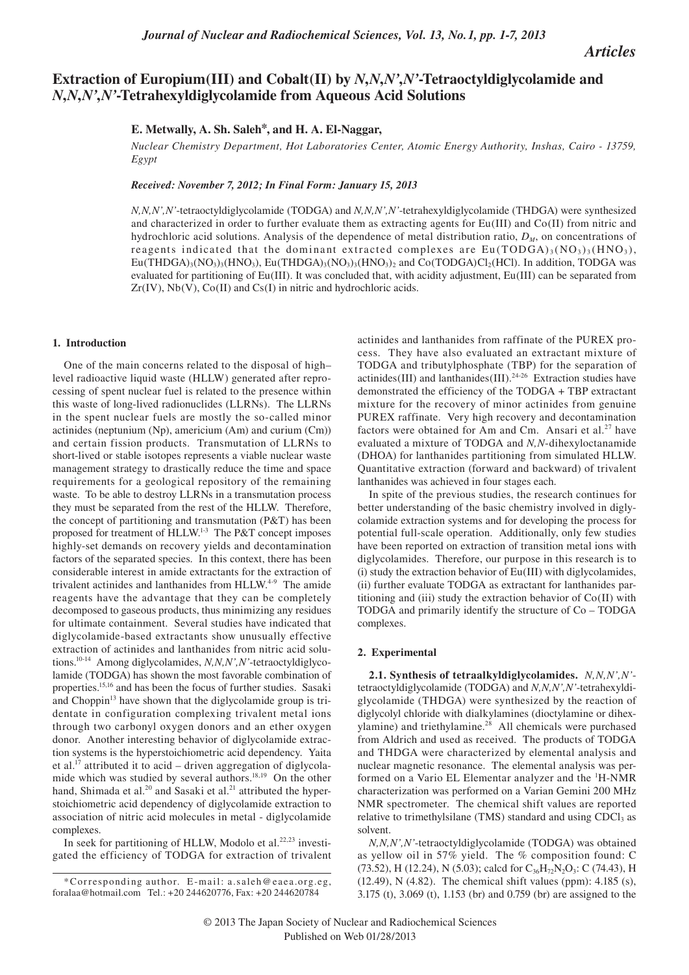*Articles*

# **Extraction of Europium(III) and Cobalt(II) by** *N***,***N***,***N'***,***N'***-Tetraoctyldiglycolamide and**  *N***,***N***,***N'***,***N'***-Tetrahexyldiglycolamide from Aqueous Acid Solutions**

# **E. Metwally, A. Sh. Saleh\*, and H. A. El-Naggar,**

*Nuclear Chemistry Department, Hot Laboratories Center, Atomic Energy Authority, Inshas, Cairo - 13759, Egypt*

*Received: November 7, 2012; In Final Form: January 15, 2013*

*N,N,N',N'*-tetraoctyldiglycolamide (TODGA) and *N,N,N',N'*-tetrahexyldiglycolamide (THDGA) were synthesized and characterized in order to further evaluate them as extracting agents for Eu(III) and Co(II) from nitric and hydrochloric acid solutions. Analysis of the dependence of metal distribution ratio,  $D_M$ , on concentrations of reagents indicated that the dominant extracted complexes are  $Eu(TODGA)_{3}(NO_{3})_{3}(HNO_{3}),$  $Eu(THDGA)_{3}(NO_{3})_{3}(HNO_{3})$ ,  $Eu(THDGA)_{3}(NO_{3})_{3}(HNO_{3})_{2}$  and  $Co(TODGA)Cl_{2}(HCl)$ . In addition, TODGA was evaluated for partitioning of Eu(III). It was concluded that, with acidity adjustment, Eu(III) can be separated from  $Zr(IV)$ ,  $Nb(V)$ ,  $Co(II)$  and  $Cs(I)$  in nitric and hydrochloric acids.

# **1. Introduction**

One of the main concerns related to the disposal of high– level radioactive liquid waste (HLLW) generated after reprocessing of spent nuclear fuel is related to the presence within this waste of long-lived radionuclides (LLRNs). The LLRNs in the spent nuclear fuels are mostly the so-called minor actinides (neptunium (Np), americium (Am) and curium (Cm)) and certain fission products. Transmutation of LLRNs to short-lived or stable isotopes represents a viable nuclear waste management strategy to drastically reduce the time and space requirements for a geological repository of the remaining waste. To be able to destroy LLRNs in a transmutation process they must be separated from the rest of the HLLW. Therefore, the concept of partitioning and transmutation (P&T) has been proposed for treatment of HLLW.<sup>1-3</sup> The P&T concept imposes highly-set demands on recovery yields and decontamination factors of the separated species. In this context, there has been considerable interest in amide extractants for the extraction of trivalent actinides and lanthanides from HLLW.<sup>4-9</sup> The amide reagents have the advantage that they can be completely decomposed to gaseous products, thus minimizing any residues for ultimate containment. Several studies have indicated that diglycolamide-based extractants show unusually effective extraction of actinides and lanthanides from nitric acid solutions.10-14 Among diglycolamides, *N,N,N',N'*-tetraoctyldiglycolamide (TODGA) has shown the most favorable combination of properties.15,16 and has been the focus of further studies. Sasaki and Choppin<sup>13</sup> have shown that the diglycolamide group is tridentate in configuration complexing trivalent metal ions through two carbonyl oxygen donors and an ether oxygen donor. Another interesting behavior of diglycolamide extraction systems is the hyperstoichiometric acid dependency. Yaita et al.<sup>17</sup> attributed it to acid – driven aggregation of diglycolamide which was studied by several authors.<sup>18,19</sup> On the other hand, Shimada et al.<sup>20</sup> and Sasaki et al.<sup>21</sup> attributed the hyperstoichiometric acid dependency of diglycolamide extraction to association of nitric acid molecules in metal - diglycolamide complexes.

In seek for partitioning of HLLW, Modolo et al. $22,23$  investigated the efficiency of TODGA for extraction of trivalent actinides and lanthanides from raffinate of the PUREX process. They have also evaluated an extractant mixture of TODGA and tributylphosphate (TBP) for the separation of actinides(III) and lanthanides(III).24-26 Extraction studies have demonstrated the efficiency of the TODGA + TBP extractant mixture for the recovery of minor actinides from genuine PUREX raffinate. Very high recovery and decontamination factors were obtained for Am and Cm. Ansari et al.<sup>27</sup> have evaluated a mixture of TODGA and *N,N*-dihexyloctanamide (DHOA) for lanthanides partitioning from simulated HLLW. Quantitative extraction (forward and backward) of trivalent lanthanides was achieved in four stages each.

In spite of the previous studies, the research continues for better understanding of the basic chemistry involved in diglycolamide extraction systems and for developing the process for potential full-scale operation. Additionally, only few studies have been reported on extraction of transition metal ions with diglycolamides. Therefore, our purpose in this research is to (i) study the extraction behavior of Eu(III) with diglycolamides, (ii) further evaluate TODGA as extractant for lanthanides partitioning and (iii) study the extraction behavior of  $Co(II)$  with TODGA and primarily identify the structure of Co – TODGA complexes.

### **2. Experimental**

**2.1. Synthesis of tetraalkyldiglycolamides.** *N,N,N',N'* tetraoctyldiglycolamide (TODGA) and *N,N,N',N'*-tetrahexyldiglycolamide (THDGA) were synthesized by the reaction of diglycolyl chloride with dialkylamines (dioctylamine or dihexylamine) and triethylamine.<sup>28</sup> All chemicals were purchased from Aldrich and used as received. The products of TODGA and THDGA were characterized by elemental analysis and nuclear magnetic resonance. The elemental analysis was performed on a Vario EL Elementar analyzer and the <sup>1</sup>H-NMR characterization was performed on a Varian Gemini 200 MHz NMR spectrometer. The chemical shift values are reported relative to trimethylsilane (TMS) standard and using CDCl<sub>3</sub> as solvent.

*N,N,N',N'*-tetraoctyldiglycolamide (TODGA) was obtained as yellow oil in 57% yield. The % composition found: C (73.52), H (12.24), N (5.03); calcd for  $C_{36}H_{72}N_2O_3$ : C (74.43), H (12.49), N (4.82). The chemical shift values (ppm): 4.185 (s), 3.175 (t), 3.069 (t), 1.153 (br) and 0.759 (br) are assigned to the

<sup>\*</sup>Corresponding author. E-mail: a.saleh@eaea.org.eg. foralaa@hotmail.com Tel.: +20 244620776, Fax: +20 244620784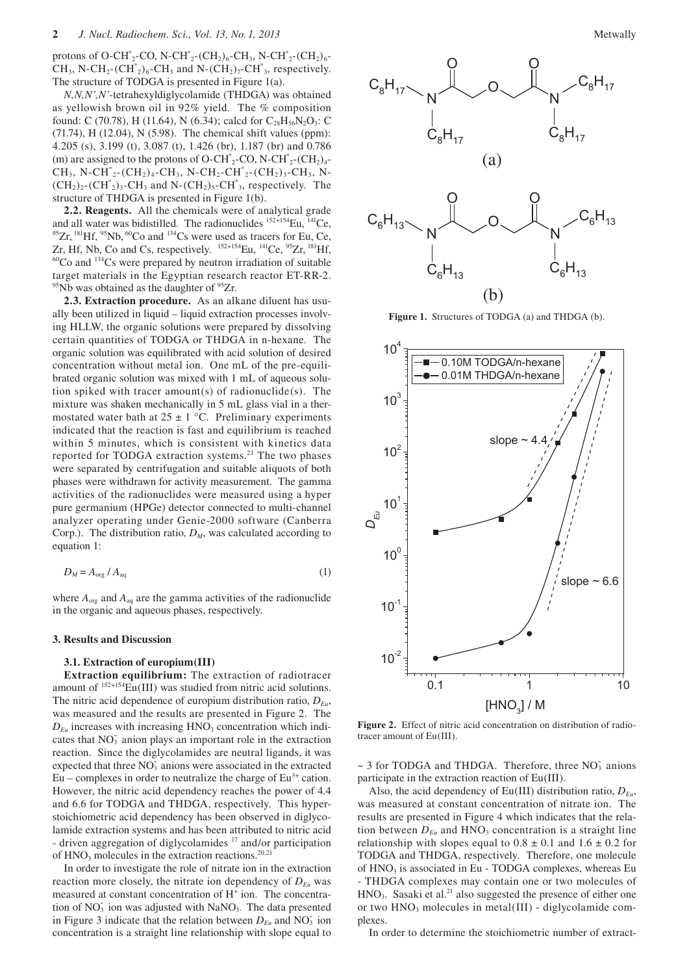protons of O-CH<sup>\*</sup><sub>2</sub>-CO, N-CH<sup>\*</sup><sub>2</sub>-(CH<sub>2</sub>)<sub>6</sub>-CH<sub>3</sub>, N-CH<sup>\*</sup><sub>2</sub>-(CH<sub>2</sub>)<sub>6</sub>-CH<sub>3</sub>, N-CH<sub>2</sub>-(CH<sup>\*</sup><sub>2</sub>)<sub>6</sub>-CH<sub>3</sub> and N-(CH<sub>2</sub>)<sub>7</sub>-CH<sup>\*</sup><sub>3</sub>, respectively. The structure of TODGA is presented in Figure 1(a).

*N,N,N',N'*-tetrahexyldiglycolamide (THDGA) was obtained as yellowish brown oil in 92% yield. The % composition found: C (70.78), H (11.64), N (6.34); calcd for  $C_{28}H_{56}N_2O_3$ : C (71.74), H (12.04), N (5.98). The chemical shift values (ppm): 4.205 (s), 3.199 (t), 3.087 (t), 1.426 (br), 1.187 (br) and 0.786 (m) are assigned to the protons of O-CH<sup>\*</sup><sub>2</sub>-CO, N-CH<sup>\*</sup><sub>2</sub>-(CH<sub>2</sub>)<sub>4</sub>- $CH_3$ , N-CH<sup>\*</sup><sub>2</sub>-(CH<sub>2</sub>)<sub>4</sub>-CH<sub>3</sub>, N-CH<sub>2</sub>-CH<sup>\*</sup><sub>2</sub>-(CH<sub>2</sub>)<sub>3</sub>-CH<sub>3</sub>, N- $(CH<sub>2</sub>)<sub>2</sub>$ - $CH<sup>*</sup><sub>2</sub>)<sub>3</sub>$ - $CH<sub>3</sub>$  and N- $(CH<sub>2</sub>)<sub>5</sub>$ - $CH<sup>*</sup><sub>3</sub>$ , respectively. The structure of THDGA is presented in Figure 1(b).

**2.2. Reagents.** All the chemicals were of analytical grade and all water was bidistilled. The radionuclides  ${}^{152+154}Eu$ ,  ${}^{141}Ce$ ,  ${}^{95}Zr$ ,  ${}^{181}Hf$ ,  ${}^{95}Nb$ ,  ${}^{60}Co$  and  ${}^{134}Cs$  were used as tracers for Eu, Ce,  $Zr$ , Hf, Nb, Co and Cs, respectively.  ${}^{152+154}Eu$ ,  ${}^{$  $60$ Co and  $134$ Cs were prepared by neutron irradiation of suitable target materials in the Egyptian research reactor ET-RR-2.  $95$ Nb was obtained as the daughter of  $95Zr$ .

**2.3. Extraction procedure.** As an alkane diluent has usually been utilized in liquid – liquid extraction processes involving HLLW, the organic solutions were prepared by dissolving certain quantities of TODGA or THDGA in n-hexane. The organic solution was equilibrated with acid solution of desired concentration without metal ion. One mL of the pre-equilibrated organic solution was mixed with 1 mL of aqueous solution spiked with tracer amount(s) of radionuclide(s). The mixture was shaken mechanically in 5 mL glass vial in a thermostated water bath at  $25 \pm 1$  °C. Preliminary experiments indicated that the reaction is fast and equilibrium is reached within 5 minutes, which is consistent with kinetics data reported for TODGA extraction systems.<sup>21</sup> The two phases were separated by centrifugation and suitable aliquots of both phases were withdrawn for activity measurement. The gamma activities of the radionuclides were measured using a hyper pure germanium (HPGe) detector connected to multi-channel analyzer operating under Genie-2000 software (Canberra Corp.). The distribution ratio,  $D_M$ , was calculated according to equation 1:

$$
D_M = A_{\text{org}} / A_{\text{aq}} \tag{1}
$$

where  $A_{org}$  and  $A_{aq}$  are the gamma activities of the radionuclide in the organic and aqueous phases, respectively.

#### **3. Results and Discussion**

#### **3.1. Extraction of europium(III)**

**Extraction equilibrium:** The extraction of radiotracer amount of  $152+154$ Eu(III) was studied from nitric acid solutions. The nitric acid dependence of europium distribution ratio,  $D_{Eu}$ , was measured and the results are presented in Figure 2. The  $D_{Eu}$  increases with increasing  $HNO<sub>3</sub>$  concentration which indicates that  $NO<sub>3</sub>$  anion plays an important role in the extraction reaction. Since the diglycolamides are neutral ligands, it was expected that three  $\overline{NO_3}$  anions were associated in the extracted Eu – complexes in order to neutralize the charge of  $Eu<sup>3+</sup>$  cation. However, the nitric acid dependency reaches the power of 4.4 and 6.6 for TODGA and THDGA, respectively. This hyperstoichiometric acid dependency has been observed in diglycolamide extraction systems and has been attributed to nitric acid - driven aggregation of diglycolamides<sup>17</sup> and/or participation of  $HNO<sub>3</sub>$  molecules in the extraction reactions.<sup>20,21</sup>

In order to investigate the role of nitrate ion in the extraction reaction more closely, the nitrate ion dependency of  $D_{F_u}$  was measured at constant concentration of H<sup>+</sup> ion. The concentration of  $NO<sub>3</sub>$  ion was adjusted with  $NaNO<sub>3</sub>$ . The data presented in Figure 3 indicate that the relation between  $D_{Eu}$  and NO<sub>3</sub> ion concentration is a straight line relationship with slope equal to



**Figure 1.** Structures of TODGA (a) and THDGA (b).



**Figure 2.** Effect of nitric acid concentration on distribution of radiotracer amount of Eu(III).

 $\sim$  3 for TODGA and THDGA. Therefore, three NO<sub>3</sub> anions participate in the extraction reaction of Eu(III).

Also, the acid dependency of Eu(III) distribution ratio,  $D_{Eu}$ , was measured at constant concentration of nitrate ion. The results are presented in Figure 4 which indicates that the relation between  $D_{Eu}$  and  $HNO<sub>3</sub>$  concentration is a straight line relationship with slopes equal to  $0.8 \pm 0.1$  and  $1.6 \pm 0.2$  for TODGA and THDGA, respectively. Therefore, one molecule of HNO<sub>3</sub> is associated in Eu - TODGA complexes, whereas Eu - THDGA complexes may contain one or two molecules of HNO<sub>3</sub>. Sasaki et al.<sup>21</sup> also suggested the presence of either one or two HNO<sub>3</sub> molecules in metal(III) - diglycolamide complexes.

In order to determine the stoichiometric number of extract-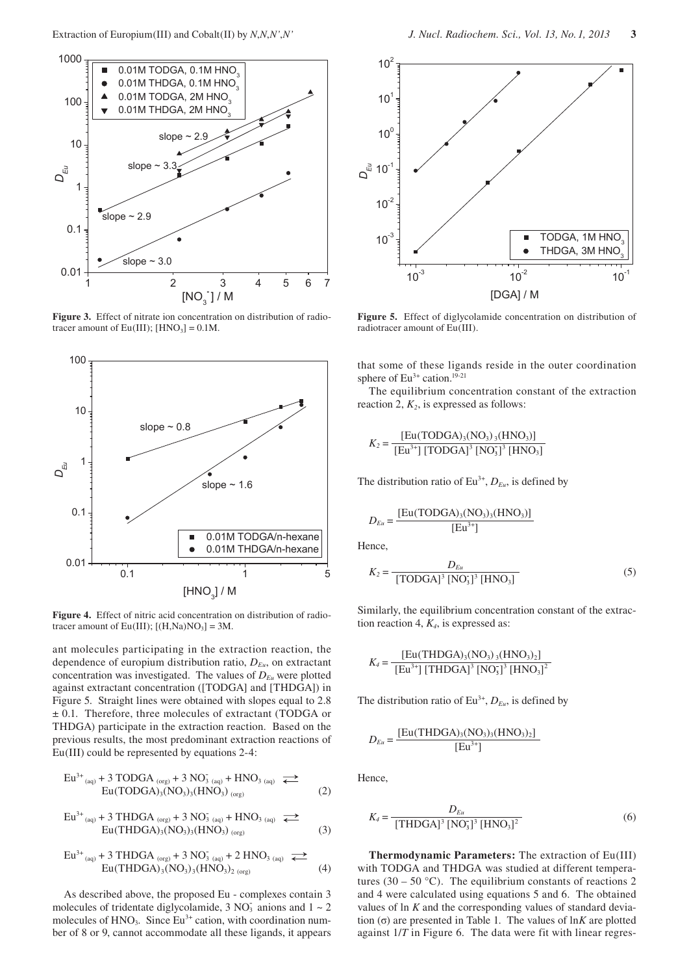

**Figure 3.** Effect of nitrate ion concentration on distribution of radiotracer amount of  $Eu(III)$ ;  $[HNO<sub>3</sub>] = 0.1M$ .



**Figure 4.** Effect of nitric acid concentration on distribution of radiotracer amount of Eu(III);  $[(H,Na)NO<sub>3</sub>] = 3M$ .

ant molecules participating in the extraction reaction, the dependence of europium distribution ratio, *DEu*, on extractant concentration was investigated. The values of  $D_{Eu}$  were plotted against extractant concentration ([TODGA] and [THDGA]) in Figure 5. Straight lines were obtained with slopes equal to 2.8 ± 0.1. Therefore, three molecules of extractant (TODGA or THDGA) participate in the extraction reaction. Based on the previous results, the most predominant extraction reactions of Eu(III) could be represented by equations 2-4:

$$
Eu^{3+}{}_{(aq)} + 3 \text{ TODGA}{}_{(org)} + 3 \text{ NO}_3{}_{(aq)} + \text{HNO}_3{}_{(aq)} \implies
$$
  
Eu(TODGA)<sub>3</sub>(NO<sub>3</sub>)<sub>3</sub>(HNO<sub>3</sub>)<sub>(org)</sub> (2)

$$
Eu^{3+}{}_{(aq)} + 3 THDGA{}_{(org)} + 3 NO3 (aq) + HNO3 (aq) \rightleftharpoons
$$
  
Eu(THDGA)<sub>3</sub>(NO<sub>3</sub>)<sub>3</sub>(HNO<sub>3</sub>)<sub>(org)</sub> (3)

$$
\text{Eu}^{3+}_{\text{(aq)}} + 3 \text{ THDGA}_{\text{(org)}} + 3 \text{ NO}_{3 \text{ (aq)}} + 2 \text{ HNO}_{3 \text{ (aq)}} \rightleftharpoons \\ \text{Eu}(\text{THDGA})_{3}(\text{NO}_{3})_{3}(\text{HNO}_{3})_{2 \text{ (org)}} \quad (4)
$$

As described above, the proposed Eu - complexes contain 3 molecules of tridentate diglycolamide,  $3 \text{ NO}_3^-$  anions and  $1 \sim 2$ molecules of  $HNO<sub>3</sub>$ . Since  $Eu<sup>3+</sup>$  cation, with coordination number of 8 or 9, cannot accommodate all these ligands, it appears



**Figure 5.** Effect of diglycolamide concentration on distribution of radiotracer amount of Eu(III).

that some of these ligands reside in the outer coordination sphere of  $Eu^{3+}$  cation.<sup>19-21</sup>

The equilibrium concentration constant of the extraction reaction 2,  $K_2$ , is expressed as follows:

$$
K_2 = \frac{[Eu(TODGA)_3(NO_3)_3(HNO_3)]}{[Eu^{3+}] [TODGA]^3 [NO_3]^3 [HNO_3]}
$$

The distribution ratio of  $Eu^{3+}$ ,  $D_{Eu}$ , is defined by

$$
D_{Eu} = \frac{[Eu(TODGA)_3(NO_3)_3(HNO_3)]}{[Eu^{3+}]}
$$

Hence,

$$
K_2 = \frac{D_{Eu}}{[\text{TODGA}]^3 [\text{NO}_3]^3 [\text{HNO}_3]}
$$
 (5)

Similarly, the equilibrium concentration constant of the extraction reaction 4, *K4*, is expressed as:

$$
K_4 = \frac{[Eu(THDGA)_3(NO_3)_3(HNO_3)_2]}{[Eu^{3+}]\,[THDGA]^3\,[NO_3]^3\,[HNO_3]^2}
$$

The distribution ratio of  $Eu^{3+}$ ,  $D_{Eu}$ , is defined by

$$
D_{Eu} = \frac{[Eu(THDGA)_3(NO_3)_3(HNO_3)_2]}{[Eu^{3+}]}
$$

Hence,

$$
K_4 = \frac{D_{Eu}}{[\text{THDGA}]^3 [\text{NO}_3]^3 [\text{HNO}_3]^2}
$$
 (6)

**Thermodynamic Parameters:** The extraction of Eu(III) with TODGA and THDGA was studied at different temperatures (30 – 50 °C). The equilibrium constants of reactions 2 and 4 were calculated using equations 5 and 6. The obtained values of ln *K* and the corresponding values of standard deviation (σ) are presented in Table 1. The values of ln*K* are plotted against 1/*T* in Figure 6. The data were fit with linear regres-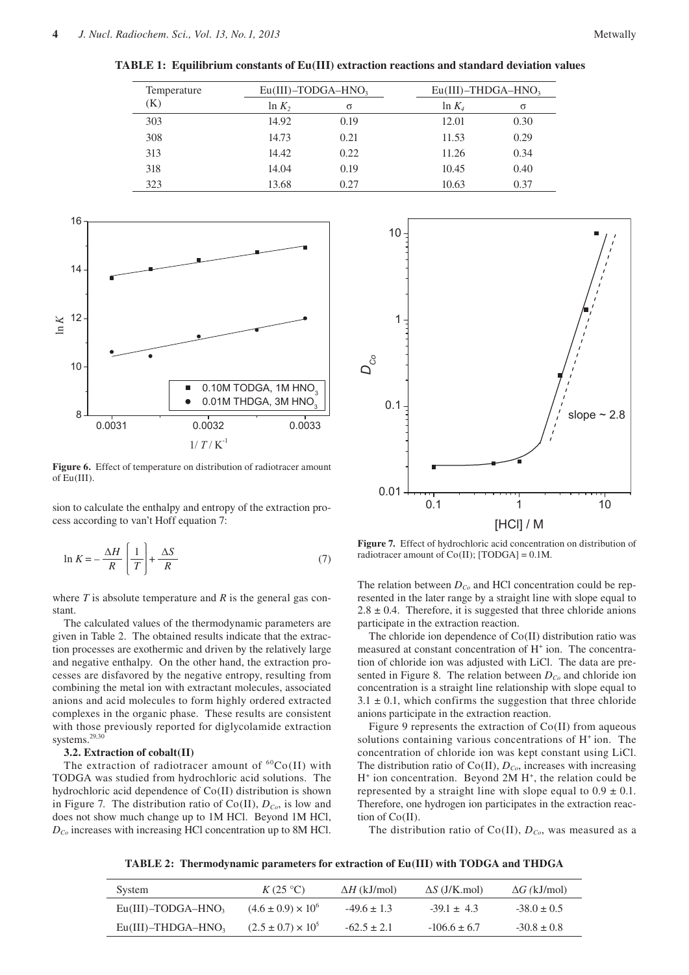**TABLE 1: Equilibrium constants of Eu(III) extraction reactions and standard deviation values**

| Temperature | $Eu(III)$ -TODGA-HNO <sub>3</sub> |      |           | $Eu(III)$ -THDGA-HNO <sub>3</sub> |  |
|-------------|-----------------------------------|------|-----------|-----------------------------------|--|
| (K)         | $\ln K_2$                         | σ    | $\ln K_4$ | σ                                 |  |
| 303         | 14.92                             | 0.19 | 12.01     | 0.30                              |  |
| 308         | 14.73                             | 0.21 | 11.53     | 0.29                              |  |
| 313         | 14.42                             | 0.22 | 11.26     | 0.34                              |  |
| 318         | 14.04                             | 0.19 | 10.45     | 0.40                              |  |
| 323         | 13.68                             | 0.27 | 10.63     | 0.37                              |  |



**Figure 6.** Effect of temperature on distribution of radiotracer amount of Eu(III).

sion to calculate the enthalpy and entropy of the extraction process according to van't Hoff equation 7:

$$
\ln K = -\frac{\Delta H}{R} \left[ \frac{1}{T} \right] + \frac{\Delta S}{R}
$$
 (7)

where *T* is absolute temperature and *R* is the general gas constant.

The calculated values of the thermodynamic parameters are given in Table 2. The obtained results indicate that the extraction processes are exothermic and driven by the relatively large and negative enthalpy. On the other hand, the extraction processes are disfavored by the negative entropy, resulting from combining the metal ion with extractant molecules, associated anions and acid molecules to form highly ordered extracted complexes in the organic phase. These results are consistent with those previously reported for diglycolamide extraction systems.<sup>29,30</sup>

# **3.2. Extraction of cobalt(II)**

The extraction of radiotracer amount of  ${}^{60}Co(II)$  with TODGA was studied from hydrochloric acid solutions. The hydrochloric acid dependence of Co(II) distribution is shown in Figure 7. The distribution ratio of  $Co(II)$ ,  $D_{Co}$ , is low and does not show much change up to 1M HCl. Beyond 1M HCl, *DCo* increases with increasing HCl concentration up to 8M HCl.



**Figure 7.** Effect of hydrochloric acid concentration on distribution of radiotracer amount of  $Co(II)$ ; [TODGA] = 0.1M.

The relation between  $D_{Co}$  and HCl concentration could be represented in the later range by a straight line with slope equal to  $2.8 \pm 0.4$ . Therefore, it is suggested that three chloride anions participate in the extraction reaction.

The chloride ion dependence of Co(II) distribution ratio was measured at constant concentration of H<sup>+</sup> ion. The concentration of chloride ion was adjusted with LiCl. The data are presented in Figure 8. The relation between  $D_{Co}$  and chloride ion concentration is a straight line relationship with slope equal to  $3.1 \pm 0.1$ , which confirms the suggestion that three chloride anions participate in the extraction reaction.

Figure 9 represents the extraction of Co(II) from aqueous solutions containing various concentrations of H<sup>+</sup> ion. The concentration of chloride ion was kept constant using LiCl. The distribution ratio of  $Co(II)$ ,  $D_{Co}$ , increases with increasing H<sup>+</sup> ion concentration. Beyond 2M H<sup>+</sup>, the relation could be represented by a straight line with slope equal to  $0.9 \pm 0.1$ . Therefore, one hydrogen ion participates in the extraction reaction of Co(II).

The distribution ratio of  $Co(II)$ ,  $D_{Co}$ , was measured as a

**TABLE 2: Thermodynamic parameters for extraction of Eu(III) with TODGA and THDGA**

| System                            | $K(25\text{ °C})$             | $\Delta H$ (kJ/mol) | $\Delta S$ (J/K.mol) | $\Delta G$ (kJ/mol) |
|-----------------------------------|-------------------------------|---------------------|----------------------|---------------------|
| $Eu(III)$ -TODGA-HNO <sub>3</sub> | $(4.6 \pm 0.9) \times 10^{6}$ | $-49.6 \pm 1.3$     | $-39.1 + 4.3$        | $-38.0 \pm 0.5$     |
| $Eu(III)$ -THDGA-HNO <sub>3</sub> | $(2.5 \pm 0.7) \times 10^5$   | $-62.5 \pm 2.1$     | $-106.6 \pm 6.7$     | $-30.8 \pm 0.8$     |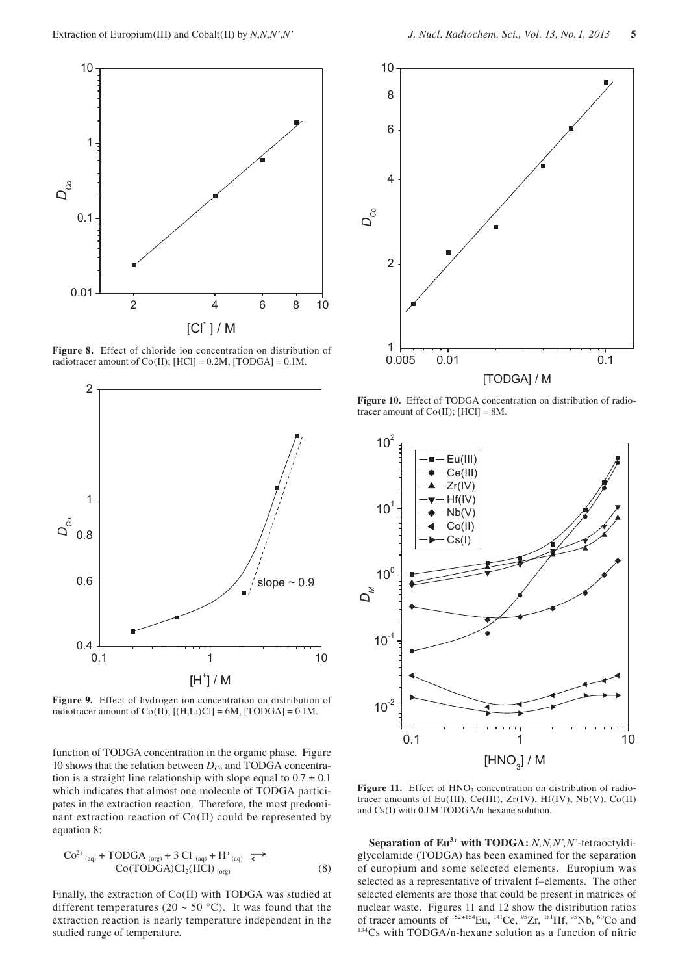

**Figure 8.** Effect of chloride ion concentration on distribution of radiotracer amount of  $Co(II)$ ; [HCl] = 0.2M, [TODGA] = 0.1M.



**Figure 9.** Effect of hydrogen ion concentration on distribution of radiotracer amount of  $Co(II)$ ;  $[(H,Li)Cl] = 6M$ ,  $[TODGA] = 0.1M$ .

function of TODGA concentration in the organic phase. Figure 10 shows that the relation between  $D_{Co}$  and TODGA concentration is a straight line relationship with slope equal to  $0.7 \pm 0.1$ which indicates that almost one molecule of TODGA participates in the extraction reaction. Therefore, the most predominant extraction reaction of Co(II) could be represented by equation 8:

$$
Co^{2+}_{(aq)} + TODGA_{(org)} + 3 CI_{(aq)} + H^{+}_{(aq)} \rightleftharpoons
$$
  
Co(TODGA)Cl<sub>2</sub>(HCl)<sub>(org)</sub> (8)

Finally, the extraction of Co(II) with TODGA was studied at different temperatures (20  $\sim$  50 °C). It was found that the extraction reaction is nearly temperature independent in the studied range of temperature.



**Figure 10.** Effect of TODGA concentration on distribution of radiotracer amount of  $Co(II)$ ; [HCl] = 8M.



Figure 11. Effect of HNO<sub>3</sub> concentration on distribution of radiotracer amounts of Eu(III), Ce(III), Zr(IV), Hf(IV), Nb(V), Co(II) and Cs(I) with 0.1M TODGA/n-hexane solution.

**Separation of Eu<sup>3+</sup> with TODGA:** *N,N,N',N'*-tetraoctyldiglycolamide (TODGA) has been examined for the separation of europium and some selected elements. Europium was selected as a representative of trivalent f–elements. The other selected elements are those that could be present in matrices of nuclear waste. Figures 11 and 12 show the distribution ratios of tracer amounts of  $^{152+154}$ Eu,  $^{141}$ Ce,  $^{95}Zr$ ,  $^{181}$ Hf,  $^{95}Nb$ ,  $^{60}Co$  and  $^{134}Cs$  with TODGA/n-hexane solution as a function of nitric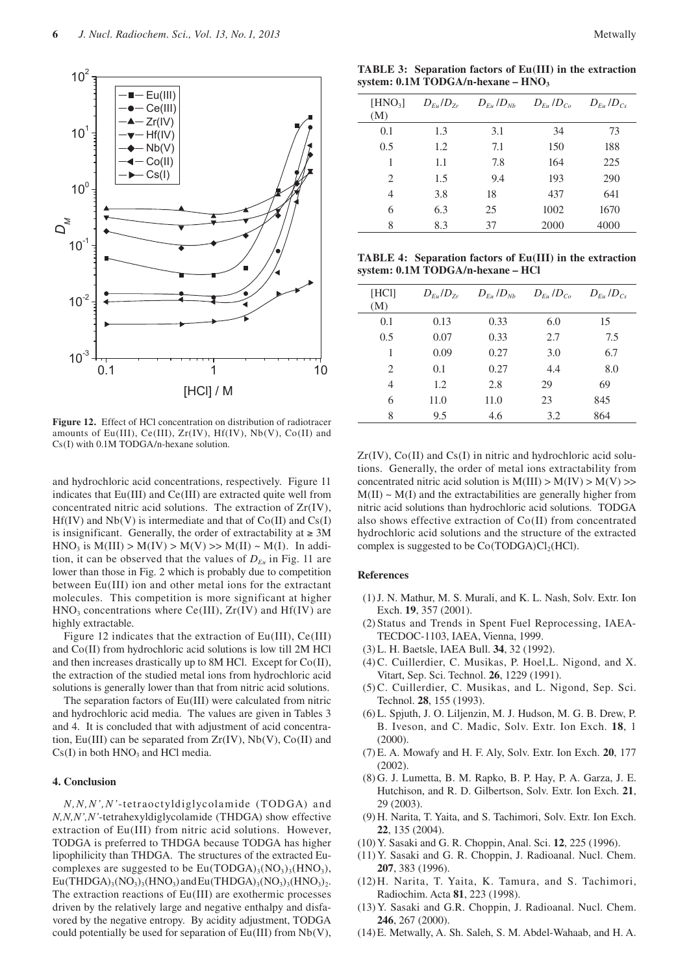

**Figure 12.** Effect of HCl concentration on distribution of radiotracer amounts of Eu(III), Ce(III), Zr(IV), Hf(IV), Nb(V), Co(II) and Cs(I) with 0.1M TODGA/n-hexane solution.

and hydrochloric acid concentrations, respectively. Figure 11 indicates that Eu(III) and Ce(III) are extracted quite well from concentrated nitric acid solutions. The extraction of Zr(IV),  $Hf(IV)$  and  $Nb(V)$  is intermediate and that of  $Co(II)$  and  $Cs(I)$ is insignificant. Generally, the order of extractability at  $\geq 3M$  $HNO<sub>3</sub>$  is  $M(III) > M(IV) > M(V) >> M(II) \sim M(I)$ . In addition, it can be observed that the values of  $D_{Eu}$  in Fig. 11 are lower than those in Fig. 2 which is probably due to competition between Eu(III) ion and other metal ions for the extractant molecules. This competition is more significant at higher  $HNO<sub>3</sub>$  concentrations where Ce(III),  $Zr(IV)$  and Hf(IV) are highly extractable.

Figure 12 indicates that the extraction of Eu(III), Ce(III) and Co(II) from hydrochloric acid solutions is low till 2M HCl and then increases drastically up to 8M HCl. Except for Co(II), the extraction of the studied metal ions from hydrochloric acid solutions is generally lower than that from nitric acid solutions.

The separation factors of Eu(III) were calculated from nitric and hydrochloric acid media. The values are given in Tables 3 and 4. It is concluded that with adjustment of acid concentration, Eu(III) can be separated from Zr(IV), Nb(V), Co(II) and  $Cs(I)$  in both  $HNO<sub>3</sub>$  and  $HCl$  media.

#### **4. Conclusion**

*N,N,N',N'*-tetraoctyldiglycolamide (TODGA) and *N,N,N',N'*-tetrahexyldiglycolamide (THDGA) show effective extraction of Eu(III) from nitric acid solutions. However, TODGA is preferred to THDGA because TODGA has higher lipophilicity than THDGA. The structures of the extracted Eucomplexes are suggested to be  $Eu(TODGA)_{3}(NO_{3})_{3}(HNO_{3}),$  $Eu(THDGA)_{3}(NO_{3})_{3}(HNO_{3})$  and  $Eu(THDGA)_{3}(NO_{3})_{3}(HNO_{3})_{2}$ . The extraction reactions of Eu(III) are exothermic processes driven by the relatively large and negative enthalpy and disfavored by the negative entropy. By acidity adjustment, TODGA could potentially be used for separation of  $Eu(III)$  from  $Nb(V)$ ,

**TABLE 3: Separation factors of Eu(III) in the extraction**  system: 0.1M TODGA/n-hexane – HNO<sub>3</sub>

| $[HNO_3]$<br>(M) | $D_{F_u}/D_{Z_r}$ | $D_{Eu}$ / $D_{Nb}$ | $D_{Eu}/D_{Co}$ | $D_{Eu}/D_{Cs}$ |
|------------------|-------------------|---------------------|-----------------|-----------------|
| 0.1              | 1.3               | 3.1                 | 34              | 73              |
| 0.5              | 1.2               | 7.1                 | 150             | 188             |
| 1                | 1.1               | 7.8                 | 164             | 225             |
| 2                | 1.5               | 9.4                 | 193             | 290             |
| 4                | 3.8               | 18                  | 437             | 641             |
| 6                | 6.3               | 25                  | 1002            | 1670            |
| 8                | 8.3               | 37                  | 2000            | 4000            |

**TABLE 4: Separation factors of Eu(III) in the extraction system: 0.1M TODGA/n-hexane – HCl**

| [HC]<br>(M)                   | $D_{Eu}/D_{Zr}$ | $D_{Eu}$ / $D_{Nb}$ | $D_{Eu}/D_{Co}$ | $D_{Eu}/D_{Cs}$ |
|-------------------------------|-----------------|---------------------|-----------------|-----------------|
| 0.1                           | 0.13            | 0.33                | 6.0             | 15              |
| 0.5                           | 0.07            | 0.33                | 2.7             | 7.5             |
| 1                             | 0.09            | 0.27                | 3.0             | 6.7             |
| $\mathfrak{D}_{\mathfrak{p}}$ | 0.1             | 0.27                | 4.4             | 8.0             |
| 4                             | 1.2             | 2.8                 | 29              | 69              |
| 6                             | 11.0            | 11.0                | 23              | 845             |
| 8                             | 9.5             | 4.6                 | 3.2             | 864             |

 $Zr(IV)$ ,  $Co(II)$  and  $Cs(I)$  in nitric and hydrochloric acid solutions. Generally, the order of metal ions extractability from concentrated nitric acid solution is  $M(III) > M(IV) > M(V)$  $M(II) \sim M(I)$  and the extractabilities are generally higher from nitric acid solutions than hydrochloric acid solutions. TODGA also shows effective extraction of Co(II) from concentrated hydrochloric acid solutions and the structure of the extracted complex is suggested to be  $Co(TODGA)Cl_2(HCl)$ .

# **References**

- (1) J. N. Mathur, M. S. Murali, and K. L. Nash, Solv. Extr. Ion Exch. **19**, 357 (2001).
- (2) Status and Trends in Spent Fuel Reprocessing, IAEA-TECDOC-1103, IAEA, Vienna, 1999.
- (3) L. H. Baetsle, IAEA Bull. **34**, 32 (1992).
- (4) C. Cuillerdier, C. Musikas, P. Hoel,L. Nigond, and X. Vitart, Sep. Sci. Technol. **26**, 1229 (1991).
- (5) C. Cuillerdier, C. Musikas, and L. Nigond, Sep. Sci. Technol. **28**, 155 (1993).
- (6) L. Spjuth, J. O. Liljenzin, M. J. Hudson, M. G. B. Drew, P. B. Iveson, and C. Madic, Solv. Extr. Ion Exch. **18**, 1 (2000).
- (7) E. A. Mowafy and H. F. Aly, Solv. Extr. Ion Exch. **20**, 177 (2002).
- (8) G. J. Lumetta, B. M. Rapko, B. P. Hay, P. A. Garza, J. E. Hutchison, and R. D. Gilbertson, Solv. Extr. Ion Exch. **21**, 29 (2003).
- (9) H. Narita, T. Yaita, and S. Tachimori, Solv. Extr. Ion Exch. **22**, 135 (2004).
- (10) Y. Sasaki and G. R. Choppin, Anal. Sci. **12**, 225 (1996).
- (11) Y. Sasaki and G. R. Choppin, J. Radioanal. Nucl. Chem. **207**, 383 (1996).
- (12) H. Narita, T. Yaita, K. Tamura, and S. Tachimori, Radiochim. Acta **81**, 223 (1998).
- (13) Y. Sasaki and G.R. Choppin, J. Radioanal. Nucl. Chem. **246**, 267 (2000).
- (14) E. Metwally, A. Sh. Saleh, S. M. Abdel-Wahaab, and H. A.